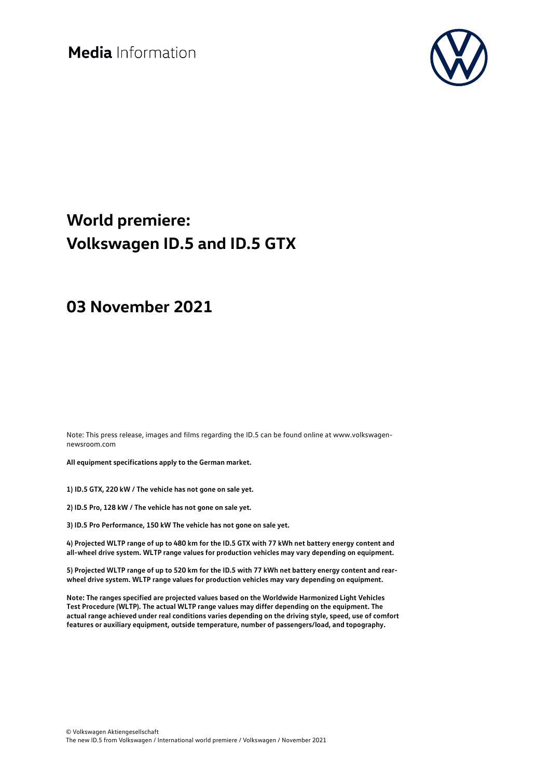Media Information



### **World premiere: Volkswagen ID.5 and ID.5 GTX**

### **03 November 2021**

Note: This press release, images and films regarding the ID.5 can be found online at www.volkswagennewsroom.com

**All equipment specifications apply to the German market.**

**1) ID.5 GTX, 220 kW / The vehicle has not gone on sale yet.**

**2) ID.5 Pro, 128 kW / The vehicle has not gone on sale yet.**

**3) ID.5 Pro Performance, 150 kW The vehicle has not gone on sale yet.**

**4) Projected WLTP range of up to 480 km for the ID.5 GTX with 77 kWh net battery energy content and all-wheel drive system. WLTP range values for production vehicles may vary depending on equipment.**

**5) Projected WLTP range of up to 520 km for the ID.5 with 77 kWh net battery energy content and rearwheel drive system. WLTP range values for production vehicles may vary depending on equipment.**

**Note: The ranges specified are projected values based on the Worldwide Harmonized Light Vehicles Test Procedure (WLTP). The actual WLTP range values may differ depending on the equipment. The actual range achieved under real conditions varies depending on the driving style, speed, use of comfort features or auxiliary equipment, outside temperature, number of passengers/load, and topography.**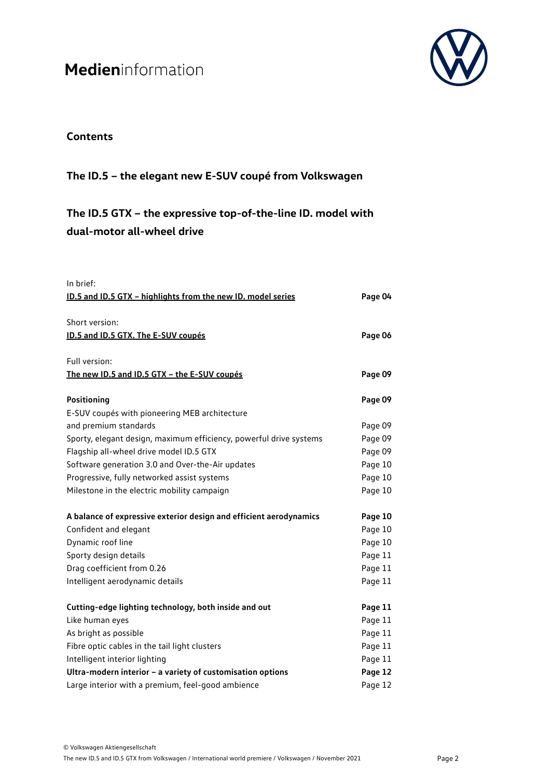

### **Contents**

### **The ID.5 – the elegant new E-SUV coupé from Volkswagen**

**The ID.5 GTX – the expressive top-of-the-line ID. model with dual-motor all-wheel drive**

| In brief:                                                          |         |
|--------------------------------------------------------------------|---------|
| ID.5 and ID.5 GTX - highlights from the new ID. model series       | Page 04 |
|                                                                    |         |
| Short version:                                                     |         |
| ID.5 and ID.5 GTX. The E-SUV coupés                                | Page 06 |
| Full version:                                                      |         |
| The new ID.5 and ID.5 GTX - the E-SUV coupés                       | Page 09 |
|                                                                    |         |
| Positioning                                                        | Page 09 |
| E-SUV coupés with pioneering MEB architecture                      |         |
| and premium standards                                              | Page 09 |
| Sporty, elegant design, maximum efficiency, powerful drive systems | Page 09 |
| Flagship all-wheel drive model ID.5 GTX                            | Page 09 |
| Software generation 3.0 and Over-the-Air updates                   | Page 10 |
| Progressive, fully networked assist systems                        | Page 10 |
| Milestone in the electric mobility campaign                        | Page 10 |
| A balance of expressive exterior design and efficient aerodynamics | Page 10 |
| Confident and elegant                                              | Page 10 |
| Dynamic roof line                                                  | Page 10 |
| Sporty design details                                              | Page 11 |
| Drag coefficient from 0.26                                         | Page 11 |
| Intelligent aerodynamic details                                    | Page 11 |
| Cutting-edge lighting technology, both inside and out              | Page 11 |
| Like human eyes                                                    | Page 11 |
| As bright as possible                                              | Page 11 |
| Fibre optic cables in the tail light clusters                      | Page 11 |
| Intelligent interior lighting                                      | Page 11 |
| Ultra-modern interior - a variety of customisation options         | Page 12 |
| Large interior with a premium, feel-good ambience                  | Page 12 |
|                                                                    |         |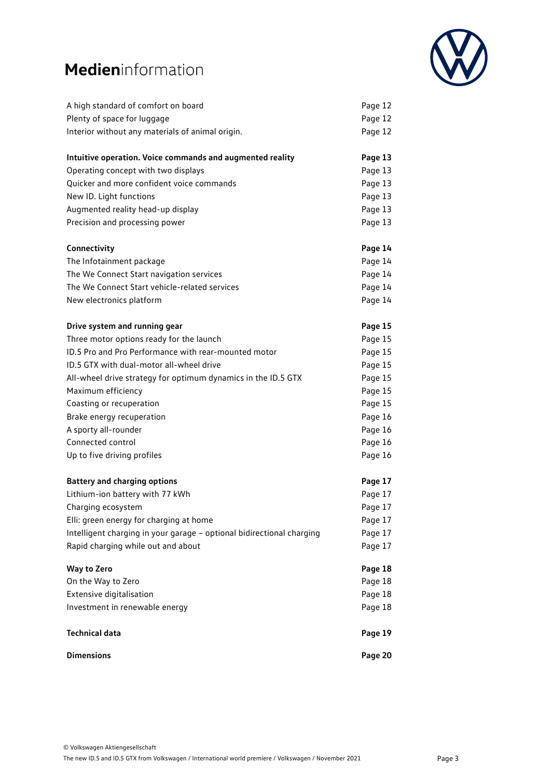

| A high standard of comfort on board                                   | Page 12 |
|-----------------------------------------------------------------------|---------|
| Plenty of space for luggage                                           | Page 12 |
| Interior without any materials of animal origin.                      | Page 12 |
| Intuitive operation. Voice commands and augmented reality             | Page 13 |
| Operating concept with two displays                                   | Page 13 |
| Quicker and more confident voice commands                             | Page 13 |
| New ID. Light functions                                               | Page 13 |
| Augmented reality head-up display                                     | Page 13 |
| Precision and processing power                                        | Page 13 |
| Connectivity                                                          | Page 14 |
| The Infotainment package                                              | Page 14 |
| The We Connect Start navigation services                              | Page 14 |
| The We Connect Start vehicle-related services                         | Page 14 |
| New electronics platform                                              | Page 14 |
| Drive system and running gear                                         | Page 15 |
| Three motor options ready for the launch                              | Page 15 |
| ID.5 Pro and Pro Performance with rear-mounted motor                  | Page 15 |
| ID.5 GTX with dual-motor all-wheel drive                              | Page 15 |
| All-wheel drive strategy for optimum dynamics in the ID.5 GTX         | Page 15 |
| Maximum efficiency                                                    | Page 15 |
| Coasting or recuperation                                              | Page 15 |
| Brake energy recuperation                                             | Page 16 |
| A sporty all-rounder                                                  | Page 16 |
| Connected control                                                     | Page 16 |
| Up to five driving profiles                                           | Page 16 |
| <b>Battery and charging options</b>                                   | Page 17 |
| Lithium-ion battery with 77 kWh                                       | Page 17 |
| Charging ecosystem                                                    | Page 17 |
| Elli: green energy for charging at home                               | Page 17 |
| Intelligent charging in your garage - optional bidirectional charging | Page 17 |
| Rapid charging while out and about                                    | Page 17 |
| <b>Way to Zero</b>                                                    | Page 18 |
| On the Way to Zero                                                    | Page 18 |
| Extensive digitalisation                                              | Page 18 |
| Investment in renewable energy                                        | Page 18 |
| <b>Technical data</b>                                                 | Page 19 |
| <b>Dimensions</b>                                                     | Page 20 |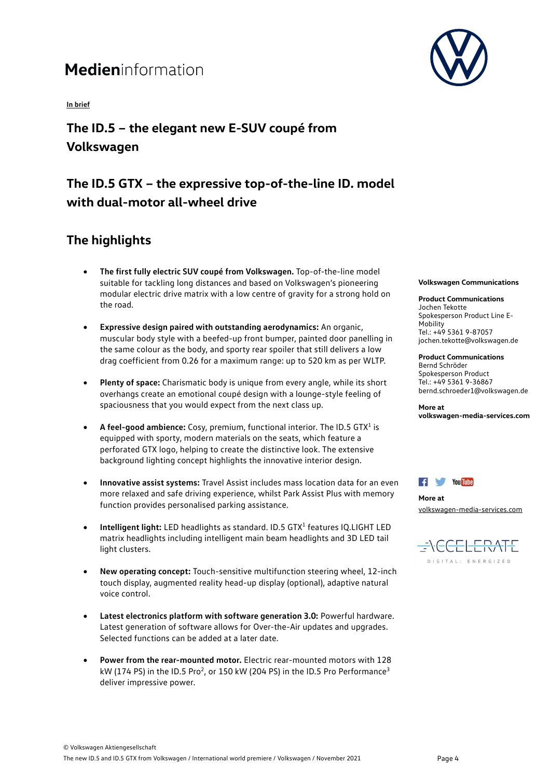**In brief** 

**The ID.5 – the elegant new E-SUV coupé from Volkswagen**

### **The ID.5 GTX – the expressive top-of-the-line ID. model with dual-motor all-wheel drive**

### **The highlights**

- **The first fully electric SUV coupé from Volkswagen.** Top-of-the-line model suitable for tackling long distances and based on Volkswagen's pioneering modular electric drive matrix with a low centre of gravity for a strong hold on the road.
- **Expressive design paired with outstanding aerodynamics:** An organic, muscular body style with a beefed-up front bumper, painted door panelling in the same colour as the body, and sporty rear spoiler that still delivers a low drag coefficient from 0.26 for a maximum range: up to 520 km as per WLTP.
- **Plenty of space:** Charismatic body is unique from every angle, while its short overhangs create an emotional coupé design with a lounge-style feeling of spaciousness that you would expect from the next class up.
- **A feel-good ambience:** Cosy, premium, functional interior. The ID.5 GTX1 is equipped with sporty, modern materials on the seats, which feature a perforated GTX logo, helping to create the distinctive look. The extensive background lighting concept highlights the innovative interior design.
- **Innovative assist systems:** Travel Assist includes mass location data for an even more relaxed and safe driving experience, whilst Park Assist Plus with memory function provides personalised parking assistance.
- **Intelligent light:** LED headlights as standard. ID.5 GTX1 features IQ.LIGHT LED matrix headlights including intelligent main beam headlights and 3D LED tail light clusters.
- **New operating concept:** Touch-sensitive multifunction steering wheel, 12-inch touch display, augmented reality head-up display (optional), adaptive natural voice control.
- **Latest electronics platform with software generation 3.0:** Powerful hardware. Latest generation of software allows for Over-the-Air updates and upgrades. Selected functions can be added at a later date.
- **Power from the rear-mounted motor.** Electric rear-mounted motors with 128 kW (174 PS) in the ID.5 Pro<sup>2</sup>, or 150 kW (204 PS) in the ID.5 Pro Performance<sup>3</sup> deliver impressive power.



#### **Volkswagen Communications**

**Product Communications** Jochen Tekotte Spokesperson Product Line E-**Mobility** Tel.: +49 5361 9-87057 jochen.tekotte@volkswagen.de

**Product Communications** Bernd Schröder Spokesperson Product Tel.: +49 5361 9-36867 bernd.schroeder1@volkswagen.de

**More at volkswagen-media-services.com**



**More at** [volkswagen-media-services.com](https://www.volkswagen-media-services.com/)

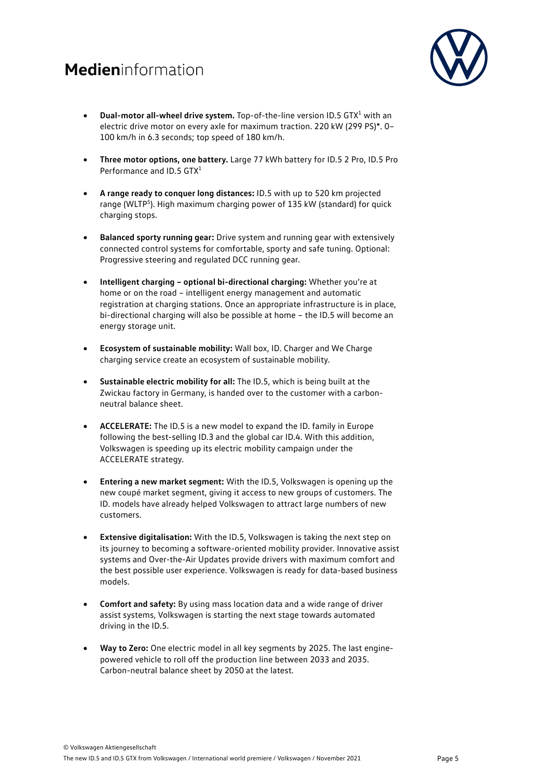

- **Dual-motor all-wheel drive system.** Top-of-the-line version ID.5 GTX1 with an electric drive motor on every axle for maximum traction. 220 kW (299 PS)\*. 0– 100 km/h in 6.3 seconds; top speed of 180 km/h.
- **Three motor options, one battery.** Large 77 kWh battery for ID.5 2 Pro, ID.5 Pro Performance and ID.5 GTX<sup>1</sup>
- **A range ready to conquer long distances:** ID.5 with up to 520 km projected range (WLTP<sup>5</sup>). High maximum charging power of 135 kW (standard) for quick charging stops.
- **Balanced sporty running gear:** Drive system and running gear with extensively connected control systems for comfortable, sporty and safe tuning. Optional: Progressive steering and regulated DCC running gear.
- **Intelligent charging – optional bi-directional charging:** Whether you're at home or on the road – intelligent energy management and automatic registration at charging stations. Once an appropriate infrastructure is in place, bi-directional charging will also be possible at home – the ID.5 will become an energy storage unit.
- **Ecosystem of sustainable mobility:** Wall box, ID. Charger and We Charge charging service create an ecosystem of sustainable mobility.
- **Sustainable electric mobility for all:** The ID.5, which is being built at the Zwickau factory in Germany, is handed over to the customer with a carbonneutral balance sheet.
- **ACCELERATE:** The ID.5 is a new model to expand the ID. family in Europe following the best-selling ID.3 and the global car ID.4. With this addition, Volkswagen is speeding up its electric mobility campaign under the ACCELERATE strategy.
- **Entering a new market segment:** With the ID.5, Volkswagen is opening up the new coupé market segment, giving it access to new groups of customers. The ID. models have already helped Volkswagen to attract large numbers of new customers.
- **Extensive digitalisation:** With the ID.5, Volkswagen is taking the next step on its journey to becoming a software-oriented mobility provider. Innovative assist systems and Over-the-Air Updates provide drivers with maximum comfort and the best possible user experience. Volkswagen is ready for data-based business models.
- **Comfort and safety:** By using mass location data and a wide range of driver assist systems, Volkswagen is starting the next stage towards automated driving in the ID.5.
- **Way to Zero:** One electric model in all key segments by 2025. The last enginepowered vehicle to roll off the production line between 2033 and 2035. Carbon-neutral balance sheet by 2050 at the latest.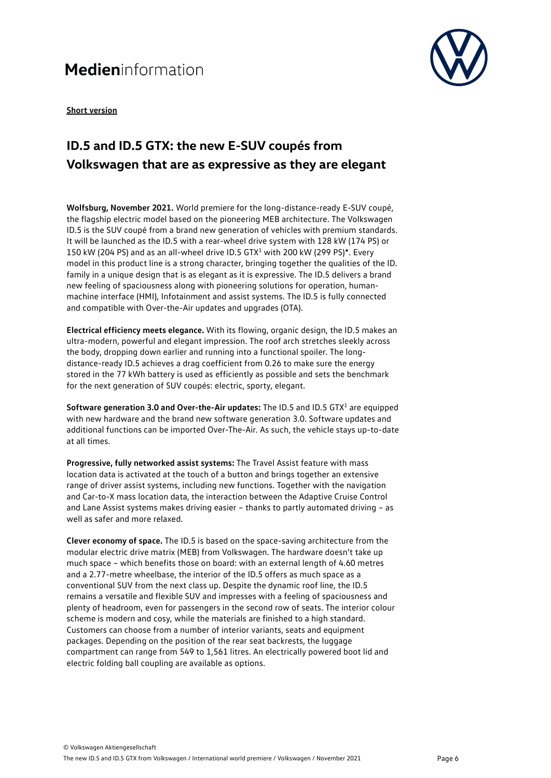

**Short version**

### **ID.5 and ID.5 GTX: the new E-SUV coupés from Volkswagen that are as expressive as they are elegant**

**Wolfsburg, November 2021.** World premiere for the long-distance-ready E-SUV coupé, the flagship electric model based on the pioneering MEB architecture. The Volkswagen ID.5 is the SUV coupé from a brand new generation of vehicles with premium standards. It will be launched as the ID.5 with a rear-wheel drive system with 128 kW (174 PS) or 150 kW (204 PS) and as an all-wheel drive ID.5 GTX<sup>1</sup> with 200 kW (299 PS)\*. Every model in this product line is a strong character, bringing together the qualities of the ID. family in a unique design that is as elegant as it is expressive. The ID.5 delivers a brand new feeling of spaciousness along with pioneering solutions for operation, humanmachine interface (HMI), Infotainment and assist systems. The ID.5 is fully connected and compatible with Over-the-Air updates and upgrades (OTA).

**Electrical efficiency meets elegance.** With its flowing, organic design, the ID.5 makes an ultra-modern, powerful and elegant impression. The roof arch stretches sleekly across the body, dropping down earlier and running into a functional spoiler. The longdistance-ready ID.5 achieves a drag coefficient from 0.26 to make sure the energy stored in the 77 kWh battery is used as efficiently as possible and sets the benchmark for the next generation of SUV coupés: electric, sporty, elegant.

**Software generation 3.0 and Over-the-Air updates:** The ID.5 and ID.5 GTX<sup>1</sup> are equipped with new hardware and the brand new software generation 3.0. Software updates and additional functions can be imported Over-The-Air. As such, the vehicle stays up-to-date at all times.

**Progressive, fully networked assist systems:** The Travel Assist feature with mass location data is activated at the touch of a button and brings together an extensive range of driver assist systems, including new functions. Together with the navigation and Car-to-X mass location data, the interaction between the Adaptive Cruise Control and Lane Assist systems makes driving easier – thanks to partly automated driving – as well as safer and more relaxed.

**Clever economy of space.** The ID.5 is based on the space-saving architecture from the modular electric drive matrix (MEB) from Volkswagen. The hardware doesn't take up much space – which benefits those on board: with an external length of 4.60 metres and a 2.77-metre wheelbase, the interior of the ID.5 offers as much space as a conventional SUV from the next class up. Despite the dynamic roof line, the ID.5 remains a versatile and flexible SUV and impresses with a feeling of spaciousness and plenty of headroom, even for passengers in the second row of seats. The interior colour scheme is modern and cosy, while the materials are finished to a high standard. Customers can choose from a number of interior variants, seats and equipment packages. Depending on the position of the rear seat backrests, the luggage compartment can range from 549 to 1,561 litres. An electrically powered boot lid and electric folding ball coupling are available as options.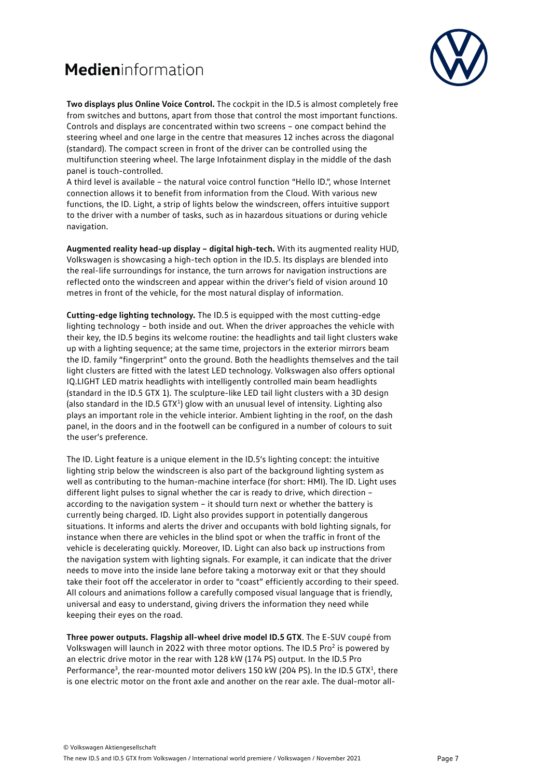

**Two displays plus Online Voice Control.** The cockpit in the ID.5 is almost completely free from switches and buttons, apart from those that control the most important functions. Controls and displays are concentrated within two screens – one compact behind the steering wheel and one large in the centre that measures 12 inches across the diagonal (standard). The compact screen in front of the driver can be controlled using the multifunction steering wheel. The large Infotainment display in the middle of the dash panel is touch-controlled.

A third level is available – the natural voice control function "Hello ID.", whose Internet connection allows it to benefit from information from the Cloud. With various new functions, the ID. Light, a strip of lights below the windscreen, offers intuitive support to the driver with a number of tasks, such as in hazardous situations or during vehicle navigation.

**Augmented reality head-up display – digital high-tech.** With its augmented reality HUD, Volkswagen is showcasing a high-tech option in the ID.5. Its displays are blended into the real-life surroundings for instance, the turn arrows for navigation instructions are reflected onto the windscreen and appear within the driver's field of vision around 10 metres in front of the vehicle, for the most natural display of information.

**Cutting-edge lighting technology.** The ID.5 is equipped with the most cutting-edge lighting technology – both inside and out. When the driver approaches the vehicle with their key, the ID.5 begins its welcome routine: the headlights and tail light clusters wake up with a lighting sequence; at the same time, projectors in the exterior mirrors beam the ID. family "fingerprint" onto the ground. Both the headlights themselves and the tail light clusters are fitted with the latest LED technology. Volkswagen also offers optional IQ.LIGHT LED matrix headlights with intelligently controlled main beam headlights (standard in the ID.5 GTX 1). The sculpture-like LED tail light clusters with a 3D design (also standard in the ID.5 GTX<sup>1</sup>) glow with an unusual level of intensity. Lighting also plays an important role in the vehicle interior. Ambient lighting in the roof, on the dash panel, in the doors and in the footwell can be configured in a number of colours to suit the user's preference.

The ID. Light feature is a unique element in the ID.5's lighting concept: the intuitive lighting strip below the windscreen is also part of the background lighting system as well as contributing to the human-machine interface (for short: HMI). The ID. Light uses different light pulses to signal whether the car is ready to drive, which direction – according to the navigation system – it should turn next or whether the battery is currently being charged. ID. Light also provides support in potentially dangerous situations. It informs and alerts the driver and occupants with bold lighting signals, for instance when there are vehicles in the blind spot or when the traffic in front of the vehicle is decelerating quickly. Moreover, ID. Light can also back up instructions from the navigation system with lighting signals. For example, it can indicate that the driver needs to move into the inside lane before taking a motorway exit or that they should take their foot off the accelerator in order to "coast" efficiently according to their speed. All colours and animations follow a carefully composed visual language that is friendly, universal and easy to understand, giving drivers the information they need while keeping their eyes on the road.

**Three power outputs. Flagship all-wheel drive model ID.5 GTX**. The E-SUV coupé from Volkswagen will launch in 2022 with three motor options. The ID.5 Pro<sup>2</sup> is powered by an electric drive motor in the rear with 128 kW (174 PS) output. In the ID.5 Pro Performance<sup>3</sup>, the rear-mounted motor delivers 150 kW (204 PS). In the ID.5 GTX<sup>1</sup>, there is one electric motor on the front axle and another on the rear axle. The dual-motor all-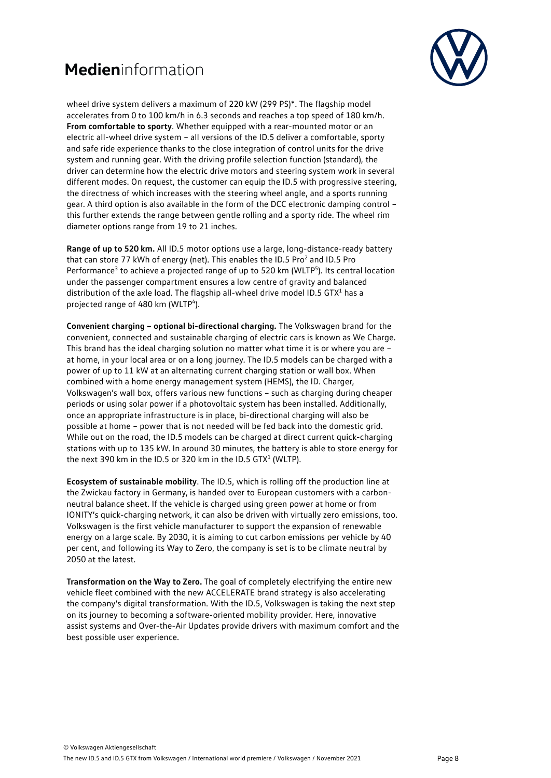

wheel drive system delivers a maximum of 220 kW (299 PS)\*. The flagship model accelerates from 0 to 100 km/h in 6.3 seconds and reaches a top speed of 180 km/h. **From comfortable to sporty**. Whether equipped with a rear-mounted motor or an electric all-wheel drive system – all versions of the ID.5 deliver a comfortable, sporty and safe ride experience thanks to the close integration of control units for the drive system and running gear. With the driving profile selection function (standard), the driver can determine how the electric drive motors and steering system work in several different modes. On request, the customer can equip the ID.5 with progressive steering, the directness of which increases with the steering wheel angle, and a sports running gear. A third option is also available in the form of the DCC electronic damping control – this further extends the range between gentle rolling and a sporty ride. The wheel rim diameter options range from 19 to 21 inches.

**Range of up to 520 km.** All ID.5 motor options use a large, long-distance-ready battery that can store 77 kWh of energy (net). This enables the ID.5 Pro<sup>2</sup> and ID.5 Pro Performance<sup>3</sup> to achieve a projected range of up to 520 km (WLTP<sup>5</sup>). Its central location under the passenger compartment ensures a low centre of gravity and balanced distribution of the axle load. The flagship all-wheel drive model ID.5 GTX<sup>1</sup> has a projected range of 480 km (WLTP<sup>4</sup>).

**Convenient charging – optional bi-directional charging.** The Volkswagen brand for the convenient, connected and sustainable charging of electric cars is known as We Charge. This brand has the ideal charging solution no matter what time it is or where you are – at home, in your local area or on a long journey. The ID.5 models can be charged with a power of up to 11 kW at an alternating current charging station or wall box. When combined with a home energy management system (HEMS), the ID. Charger, Volkswagen's wall box, offers various new functions – such as charging during cheaper periods or using solar power if a photovoltaic system has been installed. Additionally, once an appropriate infrastructure is in place, bi-directional charging will also be possible at home – power that is not needed will be fed back into the domestic grid. While out on the road, the ID.5 models can be charged at direct current quick-charging stations with up to 135 kW. In around 30 minutes, the battery is able to store energy for the next 390 km in the ID.5 or 320 km in the ID.5 GTX $1$  (WLTP).

**Ecosystem of sustainable mobility**. The ID.5, which is rolling off the production line at the Zwickau factory in Germany, is handed over to European customers with a carbonneutral balance sheet. If the vehicle is charged using green power at home or from IONITY's quick-charging network, it can also be driven with virtually zero emissions, too. Volkswagen is the first vehicle manufacturer to support the expansion of renewable energy on a large scale. By 2030, it is aiming to cut carbon emissions per vehicle by 40 per cent, and following its Way to Zero, the company is set is to be climate neutral by 2050 at the latest.

**Transformation on the Way to Zero.** The goal of completely electrifying the entire new vehicle fleet combined with the new ACCELERATE brand strategy is also accelerating the company's digital transformation. With the ID.5, Volkswagen is taking the next step on its journey to becoming a software-oriented mobility provider. Here, innovative assist systems and Over-the-Air Updates provide drivers with maximum comfort and the best possible user experience.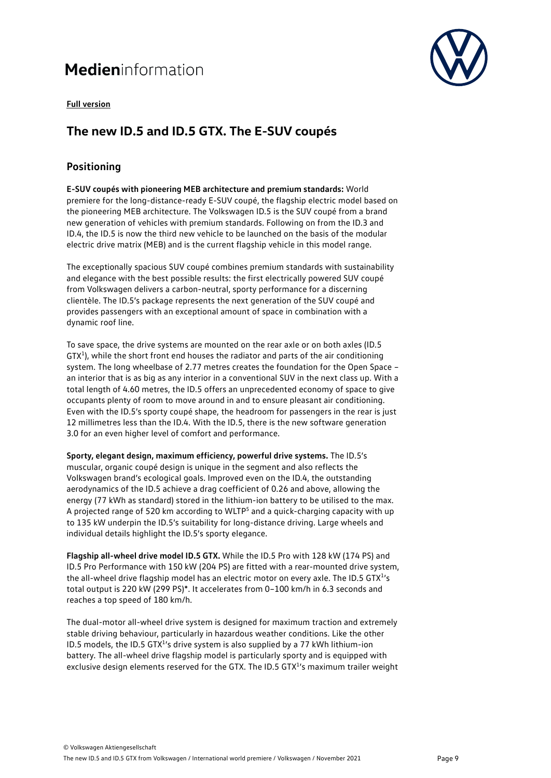

#### **Full version**

### **The new ID.5 and ID.5 GTX. The E-SUV coupés**

#### **Positioning**

**E-SUV coupés with pioneering MEB architecture and premium standards:** World premiere for the long-distance-ready E-SUV coupé, the flagship electric model based on the pioneering MEB architecture. The Volkswagen ID.5 is the SUV coupé from a brand new generation of vehicles with premium standards. Following on from the ID.3 and ID.4, the ID.5 is now the third new vehicle to be launched on the basis of the modular electric drive matrix (MEB) and is the current flagship vehicle in this model range.

The exceptionally spacious SUV coupé combines premium standards with sustainability and elegance with the best possible results: the first electrically powered SUV coupé from Volkswagen delivers a carbon-neutral, sporty performance for a discerning clientèle. The ID.5's package represents the next generation of the SUV coupé and provides passengers with an exceptional amount of space in combination with a dynamic roof line.

To save space, the drive systems are mounted on the rear axle or on both axles (ID.5  $GTX<sup>1</sup>$ ), while the short front end houses the radiator and parts of the air conditioning system. The long wheelbase of 2.77 metres creates the foundation for the Open Space – an interior that is as big as any interior in a conventional SUV in the next class up. With a total length of 4.60 metres, the ID.5 offers an unprecedented economy of space to give occupants plenty of room to move around in and to ensure pleasant air conditioning. Even with the ID.5's sporty coupé shape, the headroom for passengers in the rear is just 12 millimetres less than the ID.4. With the ID.5, there is the new software generation 3.0 for an even higher level of comfort and performance.

**Sporty, elegant design, maximum efficiency, powerful drive systems.** The ID.5's muscular, organic coupé design is unique in the segment and also reflects the Volkswagen brand's ecological goals. Improved even on the ID.4, the outstanding aerodynamics of the ID.5 achieve a drag coefficient of 0.26 and above, allowing the energy (77 kWh as standard) stored in the lithium-ion battery to be utilised to the max. A projected range of 520 km according to WLTP5 and a quick-charging capacity with up to 135 kW underpin the ID.5's suitability for long-distance driving. Large wheels and individual details highlight the ID.5's sporty elegance.

**Flagship all-wheel drive model ID.5 GTX.** While the ID.5 Pro with 128 kW (174 PS) and ID.5 Pro Performance with 150 kW (204 PS) are fitted with a rear-mounted drive system, the all-wheel drive flagship model has an electric motor on every axle. The ID.5 GTX<sup>1</sup>'s total output is 220 kW (299 PS)\*. It accelerates from 0–100 km/h in 6.3 seconds and reaches a top speed of 180 km/h.

The dual-motor all-wheel drive system is designed for maximum traction and extremely stable driving behaviour, particularly in hazardous weather conditions. Like the other ID.5 models, the ID.5 GTX<sup>1</sup>'s drive system is also supplied by a 77 kWh lithium-ion battery. The all-wheel drive flagship model is particularly sporty and is equipped with exclusive design elements reserved for the GTX. The ID.5 GTX<sup>1</sup>'s maximum trailer weight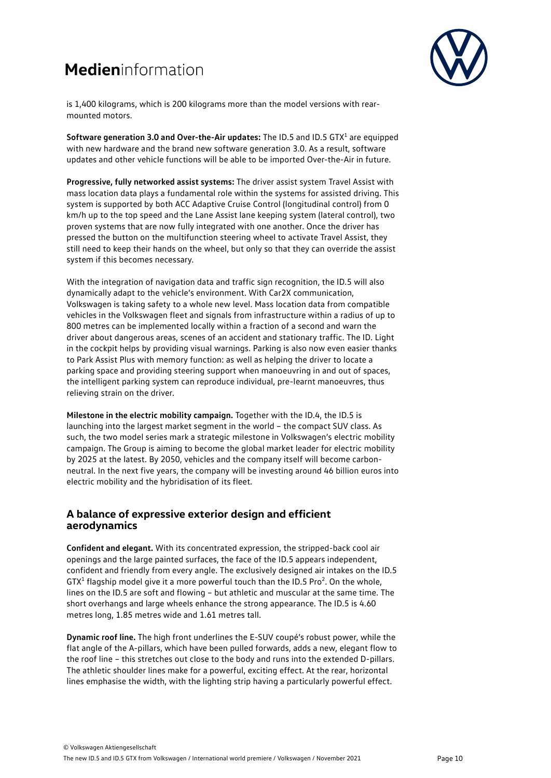

is 1,400 kilograms, which is 200 kilograms more than the model versions with rearmounted motors.

**Software generation 3.0 and Over-the-Air updates:** The ID.5 and ID.5 GTX<sup>1</sup> are equipped with new hardware and the brand new software generation 3.0. As a result, software updates and other vehicle functions will be able to be imported Over-the-Air in future.

**Progressive, fully networked assist systems:** The driver assist system Travel Assist with mass location data plays a fundamental role within the systems for assisted driving. This system is supported by both ACC Adaptive Cruise Control (longitudinal control) from 0 km/h up to the top speed and the Lane Assist lane keeping system (lateral control), two proven systems that are now fully integrated with one another. Once the driver has pressed the button on the multifunction steering wheel to activate Travel Assist, they still need to keep their hands on the wheel, but only so that they can override the assist system if this becomes necessary.

With the integration of navigation data and traffic sign recognition, the ID.5 will also dynamically adapt to the vehicle's environment. With Car2X communication, Volkswagen is taking safety to a whole new level. Mass location data from compatible vehicles in the Volkswagen fleet and signals from infrastructure within a radius of up to 800 metres can be implemented locally within a fraction of a second and warn the driver about dangerous areas, scenes of an accident and stationary traffic. The ID. Light in the cockpit helps by providing visual warnings. Parking is also now even easier thanks to Park Assist Plus with memory function: as well as helping the driver to locate a parking space and providing steering support when manoeuvring in and out of spaces, the intelligent parking system can reproduce individual, pre-learnt manoeuvres, thus relieving strain on the driver.

**Milestone in the electric mobility campaign.** Together with the ID.4, the ID.5 is launching into the largest market segment in the world – the compact SUV class. As such, the two model series mark a strategic milestone in Volkswagen's electric mobility campaign. The Group is aiming to become the global market leader for electric mobility by 2025 at the latest. By 2050, vehicles and the company itself will become carbonneutral. In the next five years, the company will be investing around 46 billion euros into electric mobility and the hybridisation of its fleet.

#### **A balance of expressive exterior design and efficient aerodynamics**

**Confident and elegant.** With its concentrated expression, the stripped-back cool air openings and the large painted surfaces, the face of the ID.5 appears independent, confident and friendly from every angle. The exclusively designed air intakes on the ID.5  $GTX^1$  flagship model give it a more powerful touch than the ID.5 Pro<sup>2</sup>. On the whole, lines on the ID.5 are soft and flowing – but athletic and muscular at the same time. The short overhangs and large wheels enhance the strong appearance. The ID.5 is 4.60 metres long, 1.85 metres wide and 1.61 metres tall.

**Dynamic roof line.** The high front underlines the E-SUV coupé's robust power, while the flat angle of the A-pillars, which have been pulled forwards, adds a new, elegant flow to the roof line – this stretches out close to the body and runs into the extended D-pillars. The athletic shoulder lines make for a powerful, exciting effect. At the rear, horizontal lines emphasise the width, with the lighting strip having a particularly powerful effect.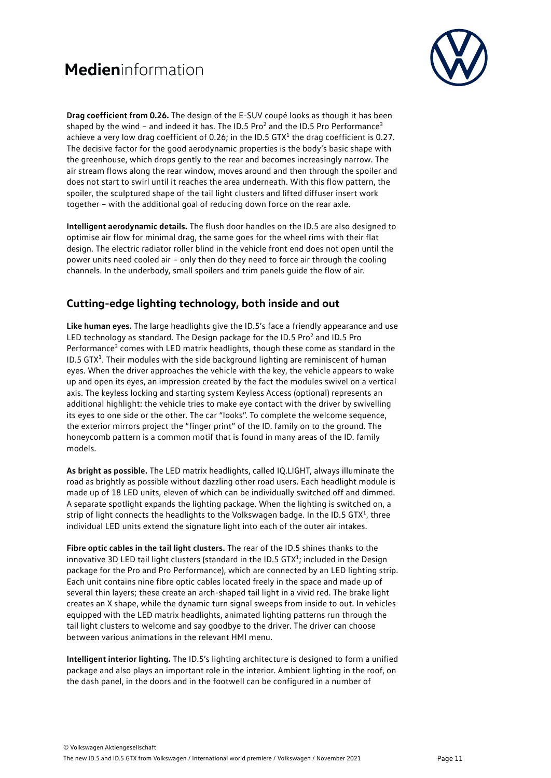

**Drag coefficient from 0.26.** The design of the E-SUV coupé looks as though it has been shaped by the wind – and indeed it has. The ID.5 Pro<sup>2</sup> and the ID.5 Pro Performance<sup>3</sup> achieve a very low drag coefficient of 0.26; in the ID.5  $GTX<sup>1</sup>$  the drag coefficient is 0.27. The decisive factor for the good aerodynamic properties is the body's basic shape with the greenhouse, which drops gently to the rear and becomes increasingly narrow. The air stream flows along the rear window, moves around and then through the spoiler and does not start to swirl until it reaches the area underneath. With this flow pattern, the spoiler, the sculptured shape of the tail light clusters and lifted diffuser insert work together – with the additional goal of reducing down force on the rear axle.

**Intelligent aerodynamic details.** The flush door handles on the ID.5 are also designed to optimise air flow for minimal drag, the same goes for the wheel rims with their flat design. The electric radiator roller blind in the vehicle front end does not open until the power units need cooled air – only then do they need to force air through the cooling channels. In the underbody, small spoilers and trim panels guide the flow of air.

#### **Cutting-edge lighting technology, both inside and out**

**Like human eyes.** The large headlights give the ID.5's face a friendly appearance and use LED technology as standard. The Design package for the ID.5 Pro<sup>2</sup> and ID.5 Pro Performance<sup>3</sup> comes with LED matrix headlights, though these come as standard in the ID.5 GTX<sup>1</sup>. Their modules with the side background lighting are reminiscent of human eyes. When the driver approaches the vehicle with the key, the vehicle appears to wake up and open its eyes, an impression created by the fact the modules swivel on a vertical axis. The keyless locking and starting system Keyless Access (optional) represents an additional highlight: the vehicle tries to make eye contact with the driver by swivelling its eyes to one side or the other. The car "looks". To complete the welcome sequence, the exterior mirrors project the "finger print" of the ID. family on to the ground. The honeycomb pattern is a common motif that is found in many areas of the ID. family models.

**As bright as possible.** The LED matrix headlights, called IQ.LIGHT, always illuminate the road as brightly as possible without dazzling other road users. Each headlight module is made up of 18 LED units, eleven of which can be individually switched off and dimmed. A separate spotlight expands the lighting package. When the lighting is switched on, a strip of light connects the headlights to the Volkswagen badge. In the ID.5 GTX<sup>1</sup>, three individual LED units extend the signature light into each of the outer air intakes.

**Fibre optic cables in the tail light clusters.** The rear of the ID.5 shines thanks to the innovative 3D LED tail light clusters (standard in the ID.5 GTX $^1$ ; included in the Design package for the Pro and Pro Performance), which are connected by an LED lighting strip. Each unit contains nine fibre optic cables located freely in the space and made up of several thin layers; these create an arch-shaped tail light in a vivid red. The brake light creates an X shape, while the dynamic turn signal sweeps from inside to out. In vehicles equipped with the LED matrix headlights, animated lighting patterns run through the tail light clusters to welcome and say goodbye to the driver. The driver can choose between various animations in the relevant HMI menu.

**Intelligent interior lighting.** The ID.5's lighting architecture is designed to form a unified package and also plays an important role in the interior. Ambient lighting in the roof, on the dash panel, in the doors and in the footwell can be configured in a number of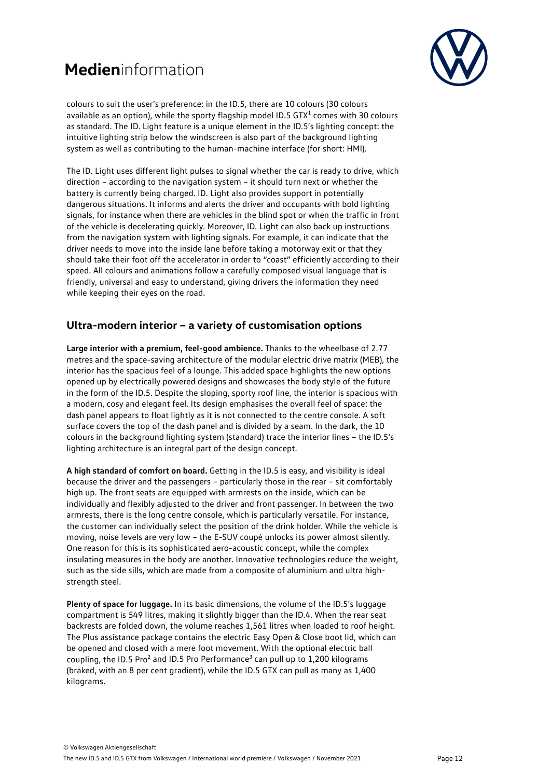

colours to suit the user's preference: in the ID.5, there are 10 colours (30 colours available as an option), while the sporty flagship model ID.5 GTX $1$  comes with 30 colours as standard. The ID. Light feature is a unique element in the ID.5's lighting concept: the intuitive lighting strip below the windscreen is also part of the background lighting system as well as contributing to the human-machine interface (for short: HMI).

The ID. Light uses different light pulses to signal whether the car is ready to drive, which direction – according to the navigation system – it should turn next or whether the battery is currently being charged. ID. Light also provides support in potentially dangerous situations. It informs and alerts the driver and occupants with bold lighting signals, for instance when there are vehicles in the blind spot or when the traffic in front of the vehicle is decelerating quickly. Moreover, ID. Light can also back up instructions from the navigation system with lighting signals. For example, it can indicate that the driver needs to move into the inside lane before taking a motorway exit or that they should take their foot off the accelerator in order to "coast" efficiently according to their speed. All colours and animations follow a carefully composed visual language that is friendly, universal and easy to understand, giving drivers the information they need while keeping their eyes on the road.

#### **Ultra-modern interior – a variety of customisation options**

**Large interior with a premium, feel-good ambience.** Thanks to the wheelbase of 2.77 metres and the space-saving architecture of the modular electric drive matrix (MEB), the interior has the spacious feel of a lounge. This added space highlights the new options opened up by electrically powered designs and showcases the body style of the future in the form of the ID.5. Despite the sloping, sporty roof line, the interior is spacious with a modern, cosy and elegant feel. Its design emphasises the overall feel of space: the dash panel appears to float lightly as it is not connected to the centre console. A soft surface covers the top of the dash panel and is divided by a seam. In the dark, the 10 colours in the background lighting system (standard) trace the interior lines – the ID.5's lighting architecture is an integral part of the design concept.

**A high standard of comfort on board.** Getting in the ID.5 is easy, and visibility is ideal because the driver and the passengers – particularly those in the rear – sit comfortably high up. The front seats are equipped with armrests on the inside, which can be individually and flexibly adjusted to the driver and front passenger. In between the two armrests, there is the long centre console, which is particularly versatile. For instance, the customer can individually select the position of the drink holder. While the vehicle is moving, noise levels are very low – the E-SUV coupé unlocks its power almost silently. One reason for this is its sophisticated aero-acoustic concept, while the complex insulating measures in the body are another. Innovative technologies reduce the weight, such as the side sills, which are made from a composite of aluminium and ultra highstrength steel.

**Plenty of space for luggage.** In its basic dimensions, the volume of the ID.5's luggage compartment is 549 litres, making it slightly bigger than the ID.4. When the rear seat backrests are folded down, the volume reaches 1,561 litres when loaded to roof height. The Plus assistance package contains the electric Easy Open & Close boot lid, which can be opened and closed with a mere foot movement. With the optional electric ball coupling, the ID.5 Pro<sup>2</sup> and ID.5 Pro Performance<sup>3</sup> can pull up to  $1,200$  kilograms (braked, with an 8 per cent gradient), while the ID.5 GTX can pull as many as 1,400 kilograms.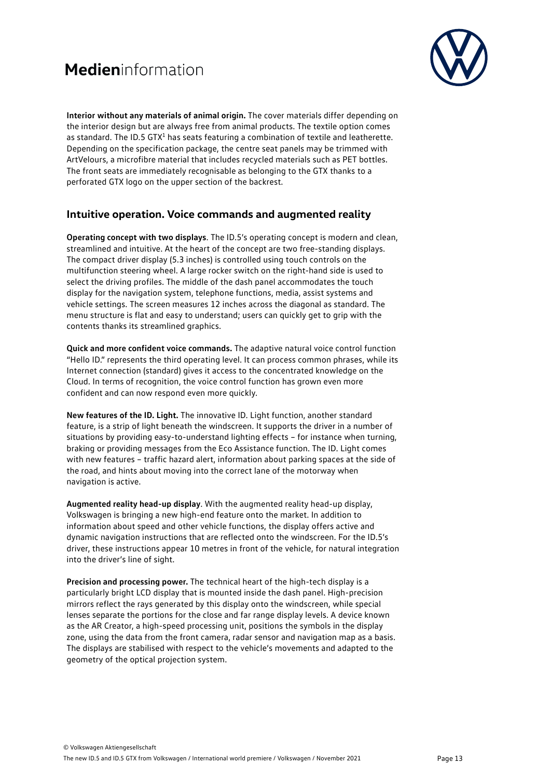

**Interior without any materials of animal origin.** The cover materials differ depending on the interior design but are always free from animal products. The textile option comes as standard. The ID.5 GTX<sup>1</sup> has seats featuring a combination of textile and leatherette. Depending on the specification package, the centre seat panels may be trimmed with ArtVelours, a microfibre material that includes recycled materials such as PET bottles. The front seats are immediately recognisable as belonging to the GTX thanks to a perforated GTX logo on the upper section of the backrest.

#### **Intuitive operation. Voice commands and augmented reality**

**Operating concept with two displays**. The ID.5's operating concept is modern and clean, streamlined and intuitive. At the heart of the concept are two free-standing displays. The compact driver display (5.3 inches) is controlled using touch controls on the multifunction steering wheel. A large rocker switch on the right-hand side is used to select the driving profiles. The middle of the dash panel accommodates the touch display for the navigation system, telephone functions, media, assist systems and vehicle settings. The screen measures 12 inches across the diagonal as standard. The menu structure is flat and easy to understand; users can quickly get to grip with the contents thanks its streamlined graphics.

**Quick and more confident voice commands.** The adaptive natural voice control function "Hello ID." represents the third operating level. It can process common phrases, while its Internet connection (standard) gives it access to the concentrated knowledge on the Cloud. In terms of recognition, the voice control function has grown even more confident and can now respond even more quickly.

**New features of the ID. Light.** The innovative ID. Light function, another standard feature, is a strip of light beneath the windscreen. It supports the driver in a number of situations by providing easy-to-understand lighting effects – for instance when turning, braking or providing messages from the Eco Assistance function. The ID. Light comes with new features – traffic hazard alert, information about parking spaces at the side of the road, and hints about moving into the correct lane of the motorway when navigation is active.

**Augmented reality head-up display**. With the augmented reality head-up display, Volkswagen is bringing a new high-end feature onto the market. In addition to information about speed and other vehicle functions, the display offers active and dynamic navigation instructions that are reflected onto the windscreen. For the ID.5's driver, these instructions appear 10 metres in front of the vehicle, for natural integration into the driver's line of sight.

**Precision and processing power.** The technical heart of the high-tech display is a particularly bright LCD display that is mounted inside the dash panel. High-precision mirrors reflect the rays generated by this display onto the windscreen, while special lenses separate the portions for the close and far range display levels. A device known as the AR Creator, a high-speed processing unit, positions the symbols in the display zone, using the data from the front camera, radar sensor and navigation map as a basis. The displays are stabilised with respect to the vehicle's movements and adapted to the geometry of the optical projection system.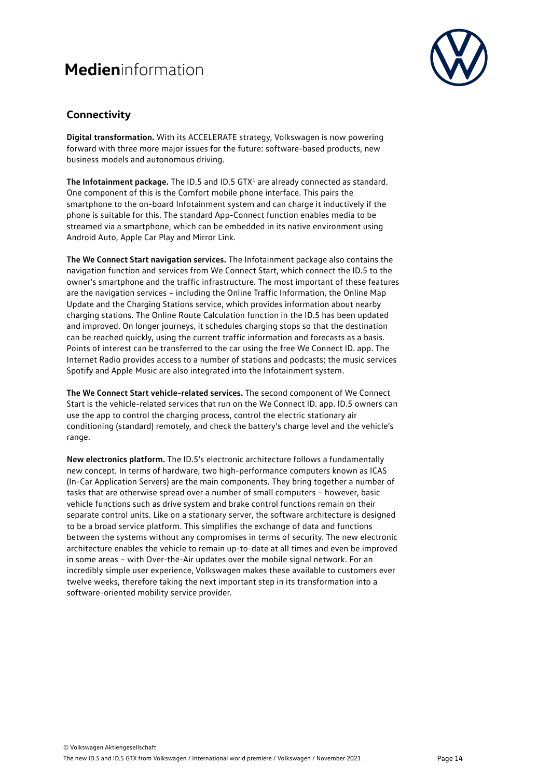

#### **Connectivity**

**Digital transformation.** With its ACCELERATE strategy, Volkswagen is now powering forward with three more major issues for the future: software-based products, new business models and autonomous driving.

The Infotainment package. The ID.5 and ID.5 GTX<sup>1</sup> are already connected as standard. One component of this is the Comfort mobile phone interface. This pairs the smartphone to the on-board Infotainment system and can charge it inductively if the phone is suitable for this. The standard App-Connect function enables media to be streamed via a smartphone, which can be embedded in its native environment using Android Auto, Apple Car Play and Mirror Link.

**The We Connect Start navigation services.** The Infotainment package also contains the navigation function and services from We Connect Start, which connect the ID.5 to the owner's smartphone and the traffic infrastructure. The most important of these features are the navigation services – including the Online Traffic Information, the Online Map Update and the Charging Stations service, which provides information about nearby charging stations. The Online Route Calculation function in the ID.5 has been updated and improved. On longer journeys, it schedules charging stops so that the destination can be reached quickly, using the current traffic information and forecasts as a basis. Points of interest can be transferred to the car using the free We Connect ID. app. The Internet Radio provides access to a number of stations and podcasts; the music services Spotify and Apple Music are also integrated into the Infotainment system.

**The We Connect Start vehicle-related services.** The second component of We Connect Start is the vehicle-related services that run on the We Connect ID. app. ID.5 owners can use the app to control the charging process, control the electric stationary air conditioning (standard) remotely, and check the battery's charge level and the vehicle's range.

**New electronics platform.** The ID.5's electronic architecture follows a fundamentally new concept. In terms of hardware, two high-performance computers known as ICAS (In-Car Application Servers) are the main components. They bring together a number of tasks that are otherwise spread over a number of small computers – however, basic vehicle functions such as drive system and brake control functions remain on their separate control units. Like on a stationary server, the software architecture is designed to be a broad service platform. This simplifies the exchange of data and functions between the systems without any compromises in terms of security. The new electronic architecture enables the vehicle to remain up-to-date at all times and even be improved in some areas – with Over-the-Air updates over the mobile signal network. For an incredibly simple user experience, Volkswagen makes these available to customers ever twelve weeks, therefore taking the next important step in its transformation into a software-oriented mobility service provider.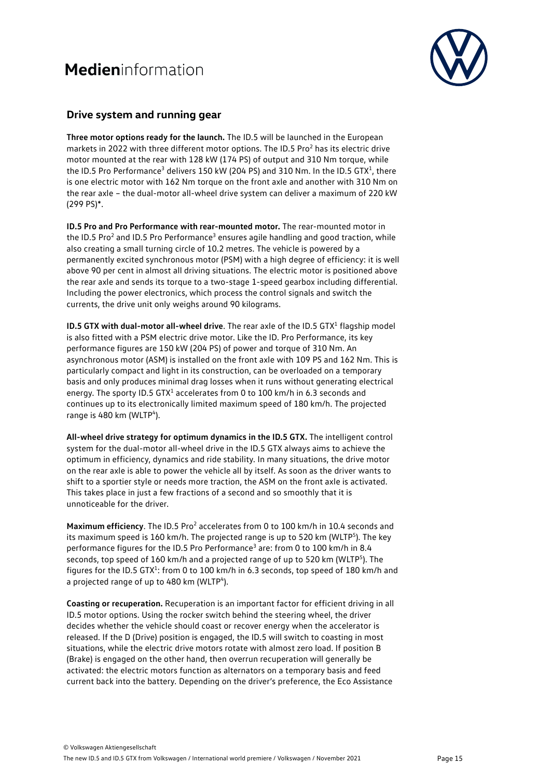

#### **Drive system and running gear**

**Three motor options ready for the launch.** The ID.5 will be launched in the European markets in 2022 with three different motor options. The ID.5 Pro<sup>2</sup> has its electric drive motor mounted at the rear with 128 kW (174 PS) of output and 310 Nm torque, while the ID.5 Pro Performance<sup>3</sup> delivers 150 kW (204 PS) and 310 Nm. In the ID.5 GTX<sup>1</sup>, there is one electric motor with 162 Nm torque on the front axle and another with 310 Nm on the rear axle – the dual-motor all-wheel drive system can deliver a maximum of 220 kW (299 PS)\*.

**ID.5 Pro and Pro Performance with rear-mounted motor.** The rear-mounted motor in the ID.5 Pro<sup>2</sup> and ID.5 Pro Performance<sup>3</sup> ensures agile handling and good traction, while also creating a small turning circle of 10.2 metres. The vehicle is powered by a permanently excited synchronous motor (PSM) with a high degree of efficiency: it is well above 90 per cent in almost all driving situations. The electric motor is positioned above the rear axle and sends its torque to a two-stage 1-speed gearbox including differential. Including the power electronics, which process the control signals and switch the currents, the drive unit only weighs around 90 kilograms.

**ID.5 GTX with dual-motor all-wheel drive**. The rear axle of the ID.5 GTX<sup>1</sup> flagship model is also fitted with a PSM electric drive motor. Like the ID. Pro Performance, its key performance figures are 150 kW (204 PS) of power and torque of 310 Nm. An asynchronous motor (ASM) is installed on the front axle with 109 PS and 162 Nm. This is particularly compact and light in its construction, can be overloaded on a temporary basis and only produces minimal drag losses when it runs without generating electrical energy. The sporty ID.5 GTX<sup>1</sup> accelerates from 0 to 100 km/h in 6.3 seconds and continues up to its electronically limited maximum speed of 180 km/h. The projected range is 480 km (WLTP<sup>4</sup>).

**All-wheel drive strategy for optimum dynamics in the ID.5 GTX.** The intelligent control system for the dual-motor all-wheel drive in the ID.5 GTX always aims to achieve the optimum in efficiency, dynamics and ride stability. In many situations, the drive motor on the rear axle is able to power the vehicle all by itself. As soon as the driver wants to shift to a sportier style or needs more traction, the ASM on the front axle is activated. This takes place in just a few fractions of a second and so smoothly that it is unnoticeable for the driver.

**Maximum efficiency.** The ID.5 Pro<sup>2</sup> accelerates from 0 to 100 km/h in 10.4 seconds and its maximum speed is 160 km/h. The projected range is up to 520 km (WLTP<sup>5</sup>). The key performance figures for the ID.5 Pro Performance<sup>3</sup> are: from 0 to 100 km/h in 8.4 seconds, top speed of 160 km/h and a projected range of up to 520 km (WLTP<sup>5</sup>). The figures for the ID.5 GTX<sup>1</sup>: from 0 to 100 km/h in 6.3 seconds, top speed of 180 km/h and a projected range of up to 480 km (WLTP<sup>4</sup>).

**Coasting or recuperation.** Recuperation is an important factor for efficient driving in all ID.5 motor options. Using the rocker switch behind the steering wheel, the driver decides whether the vehicle should coast or recover energy when the accelerator is released. If the D (Drive) position is engaged, the ID.5 will switch to coasting in most situations, while the electric drive motors rotate with almost zero load. If position B (Brake) is engaged on the other hand, then overrun recuperation will generally be activated: the electric motors function as alternators on a temporary basis and feed current back into the battery. Depending on the driver's preference, the Eco Assistance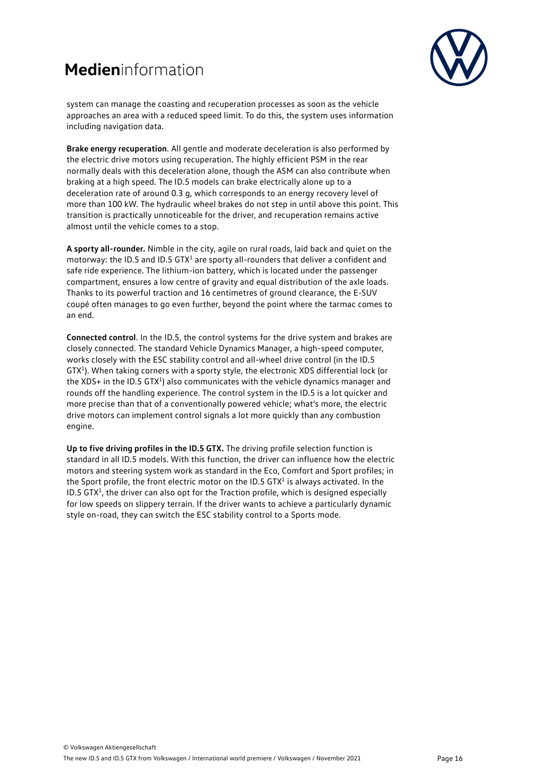

system can manage the coasting and recuperation processes as soon as the vehicle approaches an area with a reduced speed limit. To do this, the system uses information including navigation data.

**Brake energy recuperation**. All gentle and moderate deceleration is also performed by the electric drive motors using recuperation. The highly efficient PSM in the rear normally deals with this deceleration alone, though the ASM can also contribute when braking at a high speed. The ID.5 models can brake electrically alone up to a deceleration rate of around 0.3 g, which corresponds to an energy recovery level of more than 100 kW. The hydraulic wheel brakes do not step in until above this point. This transition is practically unnoticeable for the driver, and recuperation remains active almost until the vehicle comes to a stop.

**A sporty all-rounder.** Nimble in the city, agile on rural roads, laid back and quiet on the motorway: the ID.5 and ID.5  $GTX<sup>1</sup>$  are sporty all-rounders that deliver a confident and safe ride experience. The lithium-ion battery, which is located under the passenger compartment, ensures a low centre of gravity and equal distribution of the axle loads. Thanks to its powerful traction and 16 centimetres of ground clearance, the E-SUV coupé often manages to go even further, beyond the point where the tarmac comes to an end.

**Connected control**. In the ID.5, the control systems for the drive system and brakes are closely connected. The standard Vehicle Dynamics Manager, a high-speed computer, works closely with the ESC stability control and all-wheel drive control (in the ID.5 GTX<sup>1</sup>). When taking corners with a sporty style, the electronic XDS differential lock (or the XDS+ in the ID.5 GTX<sup>1</sup>) also communicates with the vehicle dynamics manager and rounds off the handling experience. The control system in the ID.5 is a lot quicker and more precise than that of a conventionally powered vehicle; what's more, the electric drive motors can implement control signals a lot more quickly than any combustion engine.

**Up to five driving profiles in the ID.5 GTX.** The driving profile selection function is standard in all ID.5 models. With this function, the driver can influence how the electric motors and steering system work as standard in the Eco, Comfort and Sport profiles; in the Sport profile, the front electric motor on the ID.5  $GTX<sup>1</sup>$  is always activated. In the ID.5 GTX $<sup>1</sup>$ , the driver can also opt for the Traction profile, which is designed especially</sup> for low speeds on slippery terrain. If the driver wants to achieve a particularly dynamic style on-road, they can switch the ESC stability control to a Sports mode.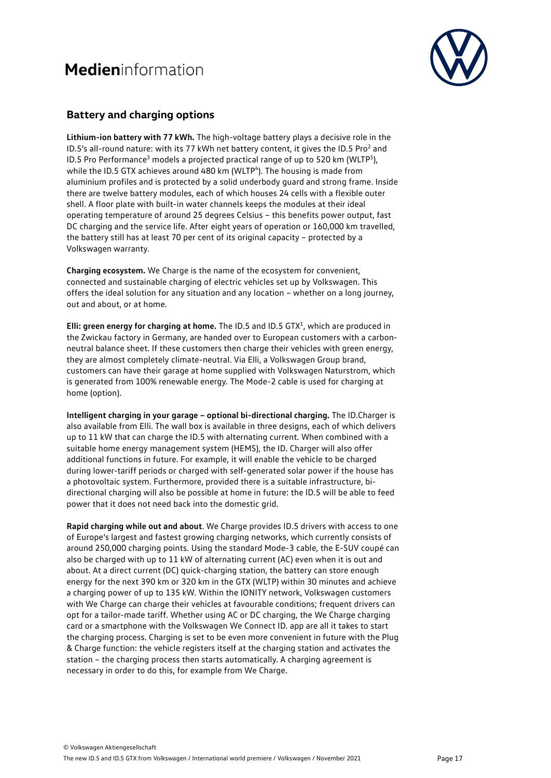

#### **Battery and charging options**

**Lithium-ion battery with 77 kWh.** The high-voltage battery plays a decisive role in the ID.5's all-round nature: with its 77 kWh net battery content, it gives the ID.5 Pro<sup>2</sup> and ID.5 Pro Performance<sup>3</sup> models a projected practical range of up to 520 km (WLTP<sup>5</sup>), while the ID.5 GTX achieves around 480 km (WLTP<sup>4</sup>). The housing is made from aluminium profiles and is protected by a solid underbody guard and strong frame. Inside there are twelve battery modules, each of which houses 24 cells with a flexible outer shell. A floor plate with built-in water channels keeps the modules at their ideal operating temperature of around 25 degrees Celsius – this benefits power output, fast DC charging and the service life. After eight years of operation or 160,000 km travelled, the battery still has at least 70 per cent of its original capacity – protected by a Volkswagen warranty.

**Charging ecosystem.** We Charge is the name of the ecosystem for convenient, connected and sustainable charging of electric vehicles set up by Volkswagen. This offers the ideal solution for any situation and any location – whether on a long journey, out and about, or at home.

**Elli: green energy for charging at home.** The ID.5 and ID.5 GTX<sup>1</sup>, which are produced in the Zwickau factory in Germany, are handed over to European customers with a carbonneutral balance sheet. If these customers then charge their vehicles with green energy, they are almost completely climate-neutral. Via Elli, a Volkswagen Group brand, customers can have their garage at home supplied with Volkswagen Naturstrom, which is generated from 100% renewable energy. The Mode-2 cable is used for charging at home (option).

**Intelligent charging in your garage – optional bi-directional charging.** The ID.Charger is also available from Elli. The wall box is available in three designs, each of which delivers up to 11 kW that can charge the ID.5 with alternating current. When combined with a suitable home energy management system (HEMS), the ID. Charger will also offer additional functions in future. For example, it will enable the vehicle to be charged during lower-tariff periods or charged with self-generated solar power if the house has a photovoltaic system. Furthermore, provided there is a suitable infrastructure, bidirectional charging will also be possible at home in future: the ID.5 will be able to feed power that it does not need back into the domestic grid.

**Rapid charging while out and about**. We Charge provides ID.5 drivers with access to one of Europe's largest and fastest growing charging networks, which currently consists of around 250,000 charging points. Using the standard Mode-3 cable, the E-SUV coupé can also be charged with up to 11 kW of alternating current (AC) even when it is out and about. At a direct current (DC) quick-charging station, the battery can store enough energy for the next 390 km or 320 km in the GTX (WLTP) within 30 minutes and achieve a charging power of up to 135 kW. Within the IONITY network, Volkswagen customers with We Charge can charge their vehicles at favourable conditions; frequent drivers can opt for a tailor-made tariff. Whether using AC or DC charging, the We Charge charging card or a smartphone with the Volkswagen We Connect ID. app are all it takes to start the charging process. Charging is set to be even more convenient in future with the Plug & Charge function: the vehicle registers itself at the charging station and activates the station – the charging process then starts automatically. A charging agreement is necessary in order to do this, for example from We Charge.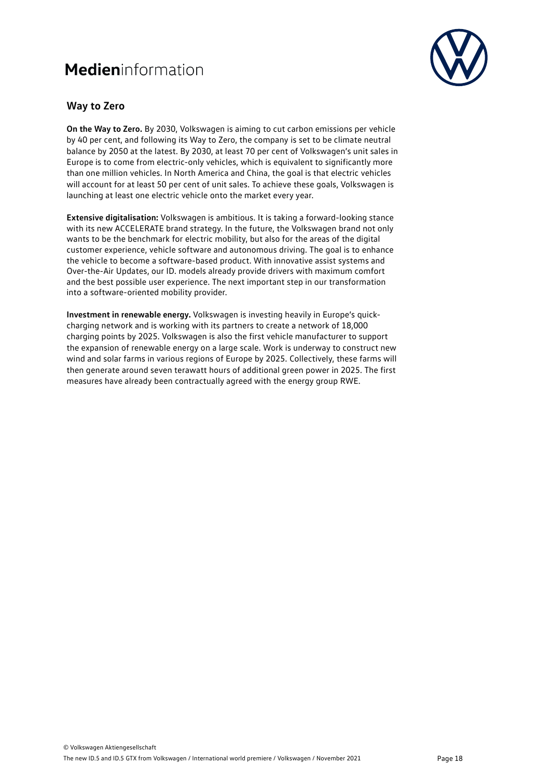

#### **Way to Zero**

**On the Way to Zero.** By 2030, Volkswagen is aiming to cut carbon emissions per vehicle by 40 per cent, and following its Way to Zero, the company is set to be climate neutral balance by 2050 at the latest. By 2030, at least 70 per cent of Volkswagen's unit sales in Europe is to come from electric-only vehicles, which is equivalent to significantly more than one million vehicles. In North America and China, the goal is that electric vehicles will account for at least 50 per cent of unit sales. To achieve these goals, Volkswagen is launching at least one electric vehicle onto the market every year.

**Extensive digitalisation:** Volkswagen is ambitious. It is taking a forward-looking stance with its new ACCELERATE brand strategy. In the future, the Volkswagen brand not only wants to be the benchmark for electric mobility, but also for the areas of the digital customer experience, vehicle software and autonomous driving. The goal is to enhance the vehicle to become a software-based product. With innovative assist systems and Over-the-Air Updates, our ID. models already provide drivers with maximum comfort and the best possible user experience. The next important step in our transformation into a software-oriented mobility provider.

**Investment in renewable energy.** Volkswagen is investing heavily in Europe's quickcharging network and is working with its partners to create a network of 18,000 charging points by 2025. Volkswagen is also the first vehicle manufacturer to support the expansion of renewable energy on a large scale. Work is underway to construct new wind and solar farms in various regions of Europe by 2025. Collectively, these farms will then generate around seven terawatt hours of additional green power in 2025. The first measures have already been contractually agreed with the energy group RWE.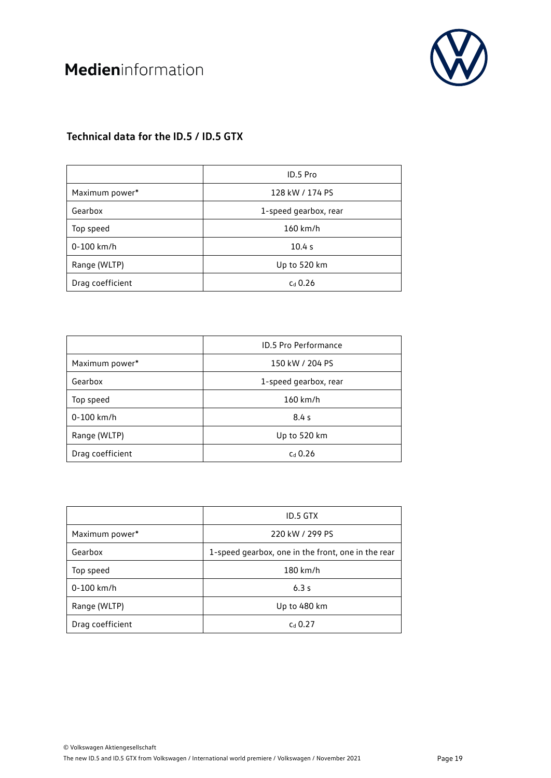

### **Technical data for the ID.5 / ID.5 GTX**

|                  | ID.5 Pro              |  |
|------------------|-----------------------|--|
| Maximum power*   | 128 kW / 174 PS       |  |
| Gearbox          | 1-speed gearbox, rear |  |
| Top speed        | $160$ km/h            |  |
| 0-100 km/h       | 10.4 s                |  |
| Range (WLTP)     | Up to 520 km          |  |
| Drag coefficient | $cd$ 0.26             |  |

|                  | <b>ID.5 Pro Performance</b> |  |
|------------------|-----------------------------|--|
| Maximum power*   | 150 kW / 204 PS             |  |
| Gearbox          | 1-speed gearbox, rear       |  |
| Top speed        | $160$ km/h                  |  |
| 0-100 km/h       | 8.4s                        |  |
| Range (WLTP)     | Up to 520 km                |  |
| Drag coefficient | $cd$ 0.26                   |  |

|                  | ID.5 GTX                                           |  |
|------------------|----------------------------------------------------|--|
| Maximum power*   | 220 kW / 299 PS                                    |  |
| Gearbox          | 1-speed gearbox, one in the front, one in the rear |  |
| Top speed        | $180$ km/h                                         |  |
| $0 - 100$ km/h   | 6.3s                                               |  |
| Range (WLTP)     | Up to 480 km                                       |  |
| Drag coefficient | $Cd$ 0.27                                          |  |